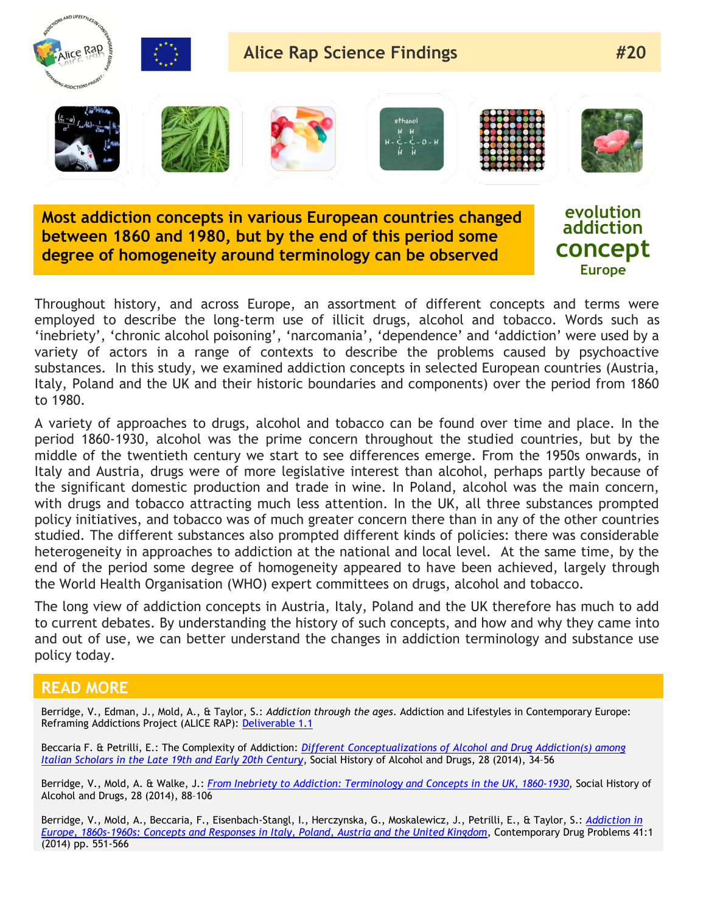

**Most addiction concepts in various European countries changed between 1860 and 1980, but by the end of this period some degree of homogeneity around terminology can be observed**

**evolution addiction concept Europe**

Throughout history, and across Europe, an assortment of different concepts and terms were employed to describe the long-term use of illicit drugs, alcohol and tobacco. Words such as 'inebriety', 'chronic alcohol poisoning', 'narcomania', 'dependence' and 'addiction' were used by a variety of actors in a range of contexts to describe the problems caused by psychoactive substances. In this study, we examined addiction concepts in selected European countries (Austria, Italy, Poland and the UK and their historic boundaries and components) over the period from 1860 to 1980.

A variety of approaches to drugs, alcohol and tobacco can be found over time and place. In the period 1860-1930, alcohol was the prime concern throughout the studied countries, but by the middle of the twentieth century we start to see differences emerge. From the 1950s onwards, in Italy and Austria, drugs were of more legislative interest than alcohol, perhaps partly because of the significant domestic production and trade in wine. In Poland, alcohol was the main concern, with drugs and tobacco attracting much less attention. In the UK, all three substances prompted policy initiatives, and tobacco was of much greater concern there than in any of the other countries studied. The different substances also prompted different kinds of policies: there was considerable heterogeneity in approaches to addiction at the national and local level. At the same time, by the end of the period some degree of homogeneity appeared to have been achieved, largely through the World Health Organisation (WHO) expert committees on drugs, alcohol and tobacco.

The long view of addiction concepts in Austria, Italy, Poland and the UK therefore has much to add to current debates. By understanding the history of such concepts, and how and why they came into and out of use, we can better understand the changes in addiction terminology and substance use policy today.

## **READ MORE**

Berridge, V., Edman, J., Mold, A., & Taylor, S.: *Addiction through the ages*. Addiction and Lifestyles in Contemporary Europe: Reframing Addictions Project (ALICE RAP): [Deliverable 1.1](http://www.alicerap.eu/resources/documents/doc_download/276-deliverable-01-1-addiction-through-the-ages.html)

Beccaria F. & Petrilli, E.: The Complexity of Addiction: *[Different Conceptualizations of Alcohol and Drug Addiction\(s\) among](http://alcoholanddrugshistorysociety.org/shad-journal/the-social-history-of-alcohol-and-drugs-vol-28-no-1-winter-2014/)  [Italian Scholars in the Late 19th and Early 20th Century](http://alcoholanddrugshistorysociety.org/shad-journal/the-social-history-of-alcohol-and-drugs-vol-28-no-1-winter-2014/)*, Social History of Alcohol and Drugs, 28 (2014), 34–56

Berridge, V., Mold, A. & Walke, J.: *[From Inebriety to Addiction: Terminology and Concepts in the UK, 1860-1930](http://alcoholanddrugshistorysociety.org/shad-journal/the-social-history-of-alcohol-and-drugs-vol-28-no-1-winter-2014/)*, Social History of Alcohol and Drugs, 28 (2014), 88–106

Berridge, V., Mold, A., Beccaria, F., Eisenbach-Stangl, I., Herczynska, G., Moskalewicz, J., Petrilli, E., & Taylor, S.: *[Addiction in](http://cdx.sagepub.com/content/41/4/551.abstract)  [Europe, 1860s-1960s: Concepts and Responses in Italy, Poland, Austria and the United Kingdom](http://cdx.sagepub.com/content/41/4/551.abstract)*, Contemporary Drug Problems 41:1 (2014) pp. 551-566